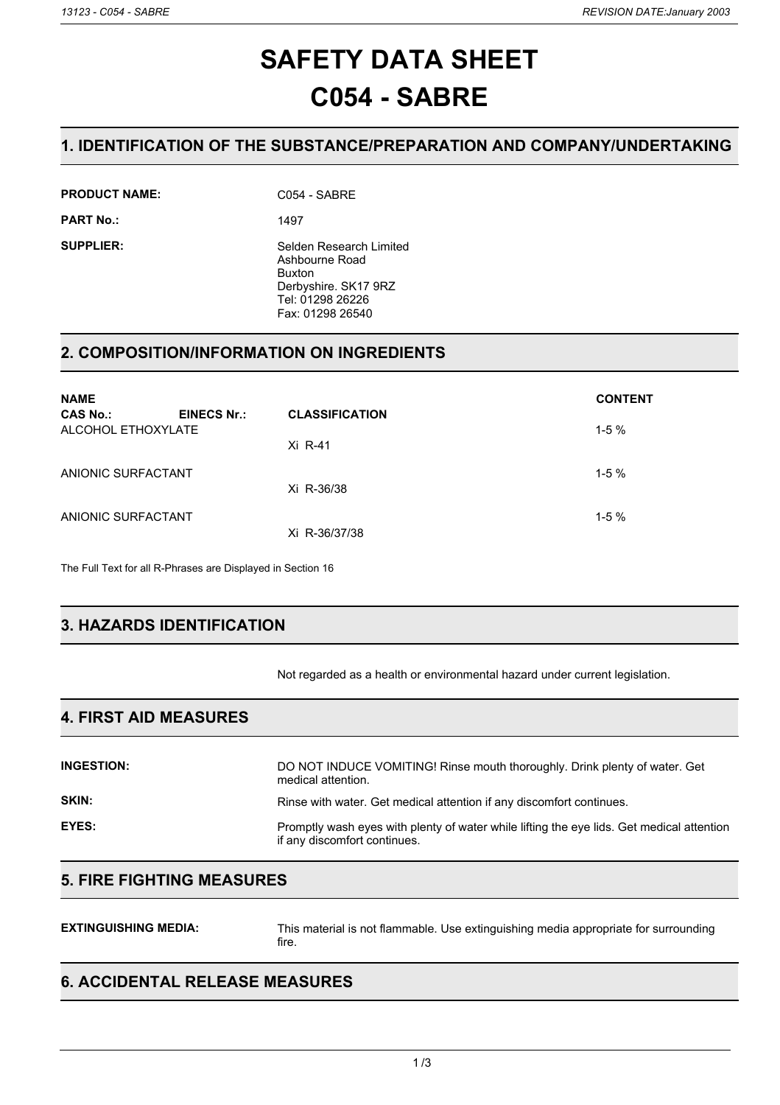# **SAFETY DATA SHEET C054 - SABRE**

### **1. IDENTIFICATION OF THE SUBSTANCE/PREPARATION AND COMPANY/UNDERTAKING**

**PRODUCT NAME:** C054 - SABRE

**PART No.:** 1497

**SUPPLIER:** Selden Research Limited Ashbourne Road Buxton Derbyshire. SK17 9RZ Tel: 01298 26226 Fax: 01298 26540

### **2. COMPOSITION/INFORMATION ON INGREDIENTS**

| <b>NAME</b>                           |                    |                       | <b>CONTENT</b> |
|---------------------------------------|--------------------|-----------------------|----------------|
| <b>CAS No.:</b><br>ALCOHOL ETHOXYLATE | <b>EINECS Nr.:</b> | <b>CLASSIFICATION</b> | $1-5%$         |
|                                       |                    | Xi R-41               |                |
| ANIONIC SURFACTANT                    |                    |                       | $1-5%$         |
|                                       |                    | Xi R-36/38            |                |
| ANIONIC SURFACTANT                    |                    | Xi R-36/37/38         | $1-5%$         |
|                                       |                    |                       |                |

The Full Text for all R-Phrases are Displayed in Section 16

# **3. HAZARDS IDENTIFICATION**

Not regarded as a health or environmental hazard under current legislation.

### **4. FIRST AID MEASURES**

| <b>INGESTION:</b> | DO NOT INDUCE VOMITING! Rinse mouth thoroughly. Drink plenty of water. Get<br>medical attention.                          |
|-------------------|---------------------------------------------------------------------------------------------------------------------------|
| <b>SKIN:</b>      | Rinse with water. Get medical attention if any discomfort continues.                                                      |
| EYES:             | Promptly wash eyes with plenty of water while lifting the eye lids. Get medical attention<br>if any discomfort continues. |

### **5. FIRE FIGHTING MEASURES**

| <b>EXTINGUISHING MEDIA:</b> | This material is not flammable. Use extinguishing media appropriate for surrounding<br>fire. |
|-----------------------------|----------------------------------------------------------------------------------------------|
|-----------------------------|----------------------------------------------------------------------------------------------|

### **6. ACCIDENTAL RELEASE MEASURES**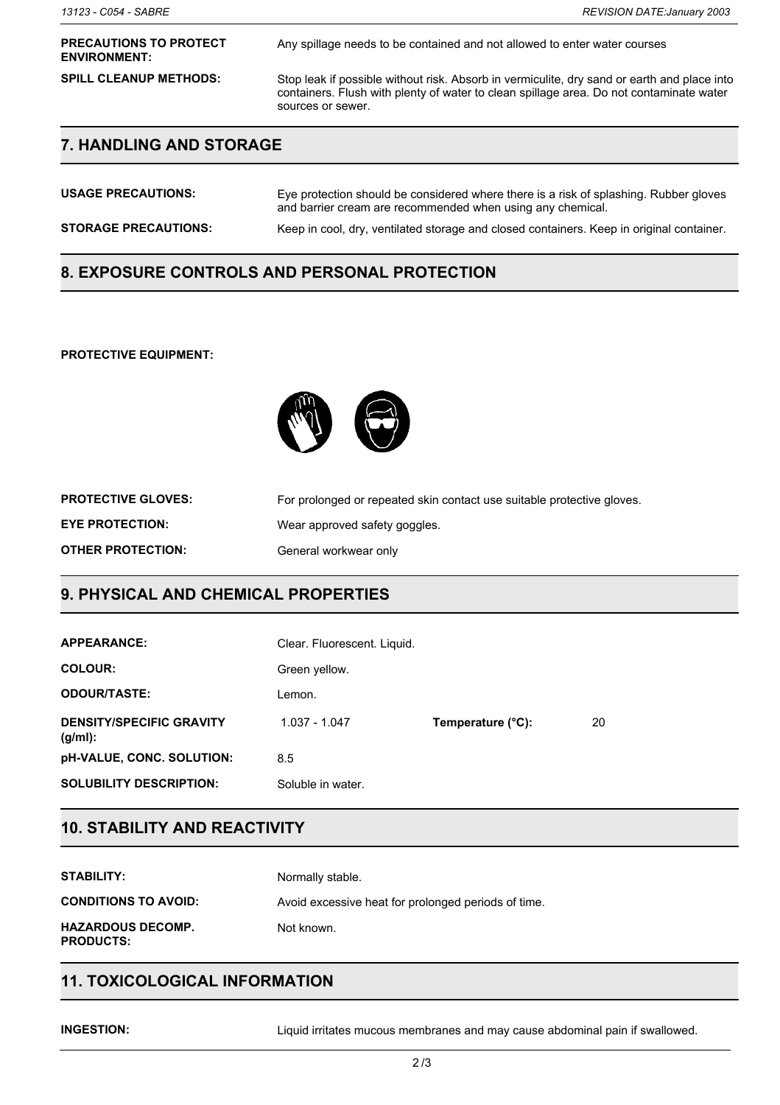#### **PRECAUTIONS TO PROTECT ENVIRONMENT:**

Any spillage needs to be contained and not allowed to enter water courses

**SPILL CLEANUP METHODS:** Stop leak if possible without risk. Absorb in vermiculite, dry sand or earth and place into containers. Flush with plenty of water to clean spillage area. Do not contaminate water sources or sewer.

### **7. HANDLING AND STORAGE**

| <b>USAGE PRECAUTIONS:</b>   | Eye protection should be considered where there is a risk of splashing. Rubber gloves<br>and barrier cream are recommended when using any chemical. |
|-----------------------------|-----------------------------------------------------------------------------------------------------------------------------------------------------|
| <b>STORAGE PRECAUTIONS:</b> | Keep in cool, dry, ventilated storage and closed containers. Keep in original container.                                                            |

### **8. EXPOSURE CONTROLS AND PERSONAL PROTECTION**

#### **PROTECTIVE EQUIPMENT:**



| <b>PROTECTIVE GLOVES:</b> | For prolonged or repeated skin contact use suitable protective gloves. |
|---------------------------|------------------------------------------------------------------------|
| <b>EYE PROTECTION:</b>    | Wear approved safety goggles.                                          |
| <b>OTHER PROTECTION:</b>  | General workwear only                                                  |

### **9. PHYSICAL AND CHEMICAL PROPERTIES**

| <b>APPEARANCE:</b>                            | Clear. Fluorescent. Liquid. |                   |    |
|-----------------------------------------------|-----------------------------|-------------------|----|
| <b>COLOUR:</b>                                | Green yellow.               |                   |    |
| <b>ODOUR/TASTE:</b>                           | Lemon.                      |                   |    |
| <b>DENSITY/SPECIFIC GRAVITY</b><br>$(g/ml)$ : | 1.037 - 1.047               | Temperature (°C): | 20 |
| pH-VALUE, CONC. SOLUTION:                     | 8.5                         |                   |    |
| <b>SOLUBILITY DESCRIPTION:</b>                | Soluble in water.           |                   |    |

### **10. STABILITY AND REACTIVITY**

| STABILITY:                                   | Normally stable.                                    |
|----------------------------------------------|-----------------------------------------------------|
| <b>CONDITIONS TO AVOID:</b>                  | Avoid excessive heat for prolonged periods of time. |
| <b>HAZARDOUS DECOMP.</b><br><b>PRODUCTS:</b> | Not known.                                          |

### **11. TOXICOLOGICAL INFORMATION**

**INGESTION:** Liquid irritates mucous membranes and may cause abdominal pain if swallowed.